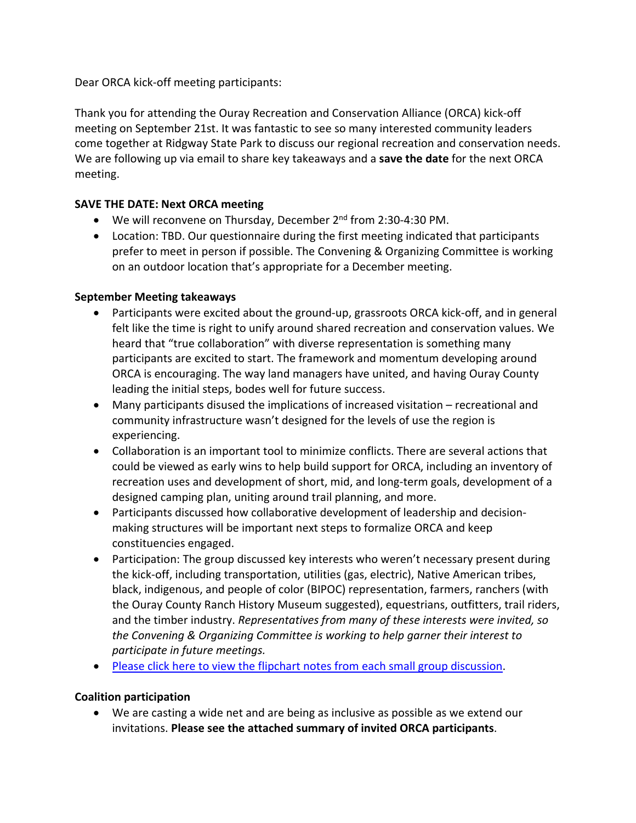Dear ORCA kick‐off meeting participants:

Thank you for attending the Ouray Recreation and Conservation Alliance (ORCA) kick‐off meeting on September 21st. It was fantastic to see so many interested community leaders come together at Ridgway State Park to discuss our regional recreation and conservation needs. We are following up via email to share key takeaways and a **save the date** for the next ORCA meeting.

## **SAVE THE DATE: Next ORCA meeting**

- We will reconvene on Thursday, December 2<sup>nd</sup> from 2:30-4:30 PM.
- Location: TBD. Our questionnaire during the first meeting indicated that participants prefer to meet in person if possible. The Convening & Organizing Committee is working on an outdoor location that's appropriate for a December meeting.

## **September Meeting takeaways**

- Participants were excited about the ground-up, grassroots ORCA kick-off, and in general felt like the time is right to unify around shared recreation and conservation values. We heard that "true collaboration" with diverse representation is something many participants are excited to start. The framework and momentum developing around ORCA is encouraging. The way land managers have united, and having Ouray County leading the initial steps, bodes well for future success.
- Many participants disused the implications of increased visitation recreational and community infrastructure wasn't designed for the levels of use the region is experiencing.
- Collaboration is an important tool to minimize conflicts. There are several actions that could be viewed as early wins to help build support for ORCA, including an inventory of recreation uses and development of short, mid, and long‐term goals, development of a designed camping plan, uniting around trail planning, and more.
- Participants discussed how collaborative development of leadership and decisionmaking structures will be important next steps to formalize ORCA and keep constituencies engaged.
- Participation: The group discussed key interests who weren't necessary present during the kick‐off, including transportation, utilities (gas, electric), Native American tribes, black, indigenous, and people of color (BIPOC) representation, farmers, ranchers (with the Ouray County Ranch History Museum suggested), equestrians, outfitters, trail riders, and the timber industry. *Representatives from many of these interests were invited, so the Convening & Organizing Committee is working to help garner their interest to participate in future meetings.*
- Please click here to view the flipchart notes from each small group discussion.

## **Coalition participation**

 We are casting a wide net and are being as inclusive as possible as we extend our invitations. **Please see the attached summary of invited ORCA participants**.